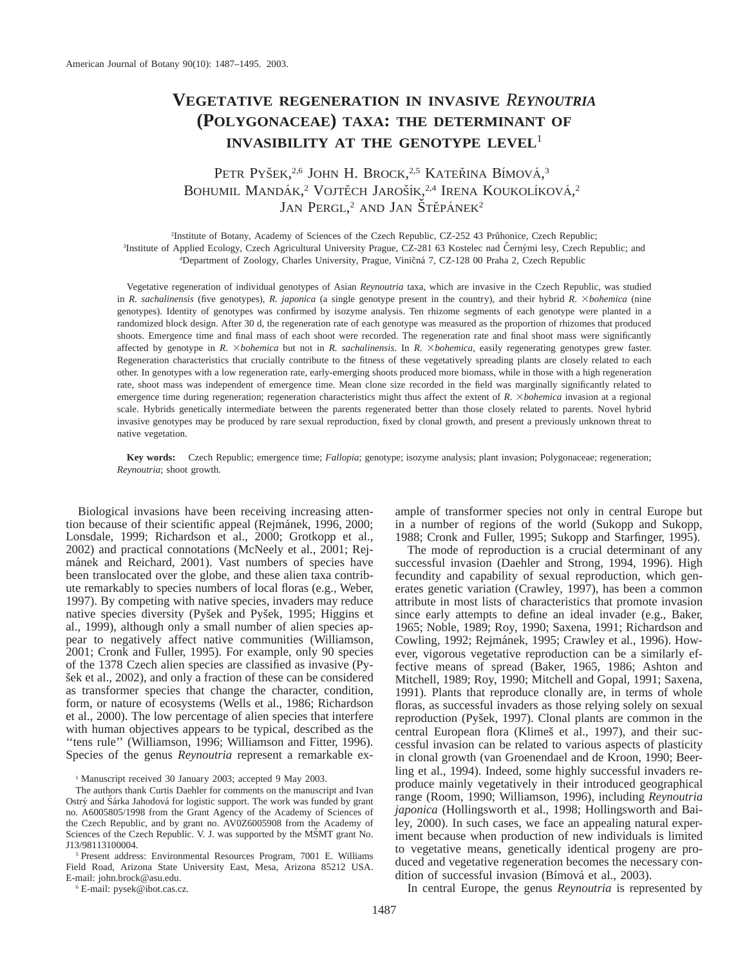# **VEGETATIVE REGENERATION IN INVASIVE** *REYNOUTRIA* **(POLYGONACEAE) TAXA: THE DETERMINANT OF INVASIBILITY AT THE GENOTYPE LEVEL**<sup>1</sup>

Petr Pyšek,<sup>2,6</sup> John H. Brock,<sup>2,5</sup> Kateřina Bímová,<sup>3</sup> BOHUMIL MANDÁK,<sup>2</sup> VOJTĚCH JAROŠÍK,<sup>2,4</sup> IRENA KOUKOLÍKOVÁ,<sup>2</sup> Jan Pergl,<sup>2</sup> and Jan Štěpánek<sup>2</sup>

<sup>2</sup>Institute of Botany, Academy of Sciences of the Czech Republic, CZ-252 43 Průhonice, Czech Republic; Institute of Applied Ecology, Czech Agricultural University Prague, CZ-281 63 Kostelec nad Černými lesy, Czech Republic; and <sup>4</sup>Department of Zoology, Charles University, Prague, Viničná 7, CZ-128 00 Praha 2, Czech Republic

Vegetative regeneration of individual genotypes of Asian *Reynoutria* taxa, which are invasive in the Czech Republic, was studied in *R. sachalinensis* (five genotypes), *R. japonica* (a single genotype present in the country), and their hybrid *R*. 3*bohemica* (nine genotypes). Identity of genotypes was confirmed by isozyme analysis. Ten rhizome segments of each genotype were planted in a randomized block design. After 30 d, the regeneration rate of each genotype was measured as the proportion of rhizomes that produced shoots. Emergence time and final mass of each shoot were recorded. The regeneration rate and final shoot mass were significantly affected by genotype in *R*. 3*bohemica* but not in *R. sachalinensis*. In *R*. 3*bohemica*, easily regenerating genotypes grew faster. Regeneration characteristics that crucially contribute to the fitness of these vegetatively spreading plants are closely related to each other. In genotypes with a low regeneration rate, early-emerging shoots produced more biomass, while in those with a high regeneration rate, shoot mass was independent of emergence time. Mean clone size recorded in the field was marginally significantly related to emergence time during regeneration; regeneration characteristics might thus affect the extent of *R*. *×bohemica* invasion at a regional scale. Hybrids genetically intermediate between the parents regenerated better than those closely related to parents. Novel hybrid invasive genotypes may be produced by rare sexual reproduction, fixed by clonal growth, and present a previously unknown threat to native vegetation.

**Key words:** Czech Republic; emergence time; *Fallopia*; genotype; isozyme analysis; plant invasion; Polygonaceae; regeneration; *Reynoutria*; shoot growth.

Biological invasions have been receiving increasing attention because of their scientific appeal (Rejmánek, 1996, 2000; Lonsdale, 1999; Richardson et al., 2000; Grotkopp et al., 2002) and practical connotations (McNeely et al., 2001; Rejmánek and Reichard, 2001). Vast numbers of species have been translocated over the globe, and these alien taxa contribute remarkably to species numbers of local floras (e.g., Weber, 1997). By competing with native species, invaders may reduce native species diversity (Pyšek and Pyšek, 1995; Higgins et al., 1999), although only a small number of alien species appear to negatively affect native communities (Williamson, 2001; Cronk and Fuller, 1995). For example, only 90 species of the 1378 Czech alien species are classified as invasive (Pyšek et al., 2002), and only a fraction of these can be considered as transformer species that change the character, condition, form, or nature of ecosystems (Wells et al., 1986; Richardson et al., 2000). The low percentage of alien species that interfere with human objectives appears to be typical, described as the "tens rule" (Williamson, 1996; Williamson and Fitter, 1996). Species of the genus *Reynoutria* represent a remarkable ex-

<sup>1</sup> Manuscript received 30 January 2003; accepted 9 May 2003.

<sup>6</sup> E-mail: pysek@ibot.cas.cz.

ample of transformer species not only in central Europe but in a number of regions of the world (Sukopp and Sukopp, 1988; Cronk and Fuller, 1995; Sukopp and Starfinger, 1995).

The mode of reproduction is a crucial determinant of any successful invasion (Daehler and Strong, 1994, 1996). High fecundity and capability of sexual reproduction, which generates genetic variation (Crawley, 1997), has been a common attribute in most lists of characteristics that promote invasion since early attempts to define an ideal invader (e.g., Baker, 1965; Noble, 1989; Roy, 1990; Saxena, 1991; Richardson and Cowling, 1992; Rejmánek, 1995; Crawley et al., 1996). However, vigorous vegetative reproduction can be a similarly effective means of spread (Baker, 1965, 1986; Ashton and Mitchell, 1989; Roy, 1990; Mitchell and Gopal, 1991; Saxena, 1991). Plants that reproduce clonally are, in terms of whole floras, as successful invaders as those relying solely on sexual reproduction (Pyšek, 1997). Clonal plants are common in the central European flora (Klimeš et al., 1997), and their successful invasion can be related to various aspects of plasticity in clonal growth (van Groenendael and de Kroon, 1990; Beerling et al., 1994). Indeed, some highly successful invaders reproduce mainly vegetatively in their introduced geographical range (Room, 1990; Williamson, 1996), including *Reynoutria japonica* (Hollingsworth et al., 1998; Hollingsworth and Bailey, 2000). In such cases, we face an appealing natural experiment because when production of new individuals is limited to vegetative means, genetically identical progeny are produced and vegetative regeneration becomes the necessary condition of successful invasion (Bímová et al., 2003).

In central Europe, the genus *Reynoutria* is represented by

The authors thank Curtis Daehler for comments on the manuscript and Ivan Ostrý and Šárka Jahodová for logistic support. The work was funded by grant no. A6005805/1998 from the Grant Agency of the Academy of Sciences of the Czech Republic, and by grant no. AV0Z6005908 from the Academy of Sciences of the Czech Republic. V. J. was supported by the MŠMT grant No. J13/98113100004.

<sup>5</sup> Present address: Environmental Resources Program, 7001 E. Williams Field Road, Arizona State University East, Mesa, Arizona 85212 USA. E-mail: john.brock@asu.edu.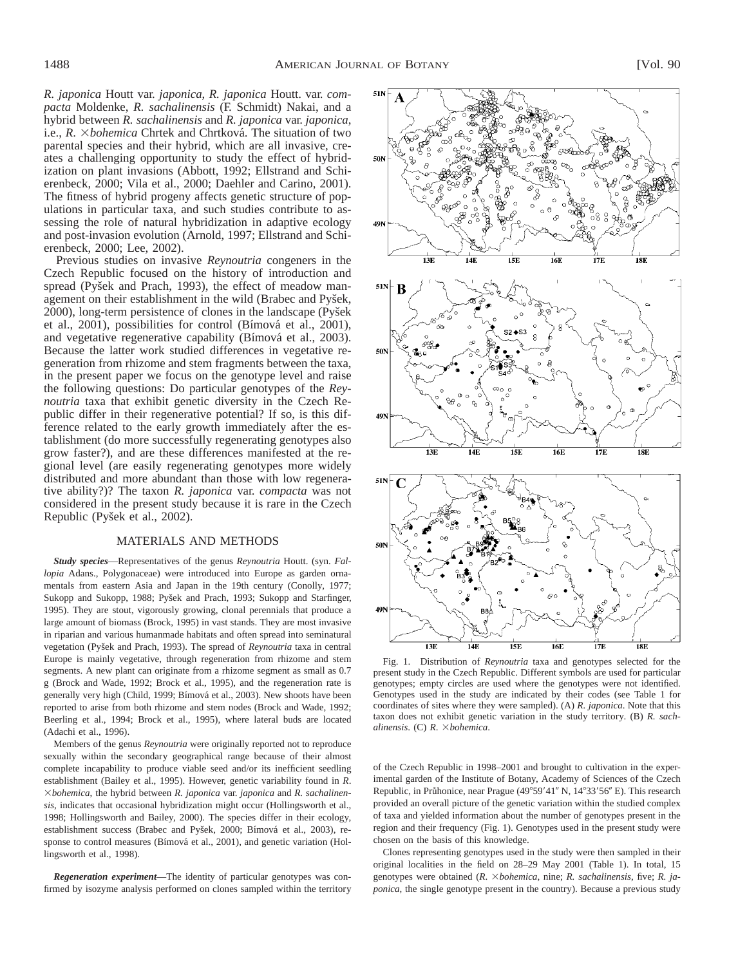*R. japonica* Houtt var. *japonica*, *R. japonica* Houtt. var. *compacta* Moldenke, *R. sachalinensis* (F. Schmidt) Nakai, and a hybrid between *R. sachalinensis* and *R. japonica* var. *japonica*, i.e., *R.*  $\times$ *bohemica* Chrtek and Chrtková. The situation of two parental species and their hybrid, which are all invasive, creates a challenging opportunity to study the effect of hybridization on plant invasions (Abbott, 1992; Ellstrand and Schierenbeck, 2000; Vila et al., 2000; Daehler and Carino, 2001). The fitness of hybrid progeny affects genetic structure of populations in particular taxa, and such studies contribute to assessing the role of natural hybridization in adaptive ecology and post-invasion evolution (Arnold, 1997; Ellstrand and Schierenbeck, 2000; Lee, 2002).

Previous studies on invasive *Reynoutria* congeners in the Czech Republic focused on the history of introduction and spread (Pyšek and Prach, 1993), the effect of meadow management on their establishment in the wild (Brabec and Pyšek, 2000), long-term persistence of clones in the landscape (Pyšek et al., 2001), possibilities for control (Bímová et al., 2001), and vegetative regenerative capability (Bímová et al., 2003). Because the latter work studied differences in vegetative regeneration from rhizome and stem fragments between the taxa, in the present paper we focus on the genotype level and raise the following questions: Do particular genotypes of the *Reynoutria* taxa that exhibit genetic diversity in the Czech Republic differ in their regenerative potential? If so, is this difference related to the early growth immediately after the establishment (do more successfully regenerating genotypes also grow faster?), and are these differences manifested at the regional level (are easily regenerating genotypes more widely distributed and more abundant than those with low regenerative ability?)? The taxon *R. japonica* var. *compacta* was not considered in the present study because it is rare in the Czech Republic (Pyšek et al., 2002).

### MATERIALS AND METHODS

*Study species*—Representatives of the genus *Reynoutria* Houtt. (syn. *Fallopia* Adans., Polygonaceae) were introduced into Europe as garden ornamentals from eastern Asia and Japan in the 19th century (Conolly, 1977; Sukopp and Sukopp, 1988; Pyšek and Prach, 1993; Sukopp and Starfinger, 1995). They are stout, vigorously growing, clonal perennials that produce a large amount of biomass (Brock, 1995) in vast stands. They are most invasive in riparian and various humanmade habitats and often spread into seminatural vegetation (Pyšek and Prach, 1993). The spread of *Reynoutria* taxa in central Europe is mainly vegetative, through regeneration from rhizome and stem segments. A new plant can originate from a rhizome segment as small as 0.7 g (Brock and Wade, 1992; Brock et al., 1995), and the regeneration rate is generally very high (Child, 1999; Bímová et al., 2003). New shoots have been reported to arise from both rhizome and stem nodes (Brock and Wade, 1992; Beerling et al., 1994; Brock et al., 1995), where lateral buds are located (Adachi et al., 1996).

Members of the genus *Reynoutria* were originally reported not to reproduce sexually within the secondary geographical range because of their almost complete incapability to produce viable seed and/or its inefficient seedling establishment (Bailey et al., 1995). However, genetic variability found in *R*. 3*bohemica*, the hybrid between *R. japonica* var. *japonica* and *R. sachalinensis*, indicates that occasional hybridization might occur (Hollingsworth et al., 1998; Hollingsworth and Bailey, 2000). The species differ in their ecology, establishment success (Brabec and Pyšek, 2000; Bímová et al., 2003), response to control measures (Bímová et al., 2001), and genetic variation (Hollingsworth et al., 1998).

*Regeneration experiment*—The identity of particular genotypes was confirmed by isozyme analysis performed on clones sampled within the territory



Fig. 1. Distribution of *Reynoutria* taxa and genotypes selected for the present study in the Czech Republic. Different symbols are used for particular genotypes; empty circles are used where the genotypes were not identified. Genotypes used in the study are indicated by their codes (see Table 1 for coordinates of sites where they were sampled). (A) *R. japonica*. Note that this taxon does not exhibit genetic variation in the study territory. (B) *R. sachalinensis*. (C) *R*. 3*bohemica*.

of the Czech Republic in 1998–2001 and brought to cultivation in the experimental garden of the Institute of Botany, Academy of Sciences of the Czech Republic, in Průhonice, near Prague (49°59'41" N, 14°33'56" E). This research provided an overall picture of the genetic variation within the studied complex of taxa and yielded information about the number of genotypes present in the region and their frequency (Fig. 1). Genotypes used in the present study were chosen on the basis of this knowledge.

Clones representing genotypes used in the study were then sampled in their original localities in the field on 28–29 May 2001 (Table 1). In total, 15 genotypes were obtained (*R.*  $\times$ *bohemica*, nine; *R. sachalinensis*, five; *R. japonica*, the single genotype present in the country). Because a previous study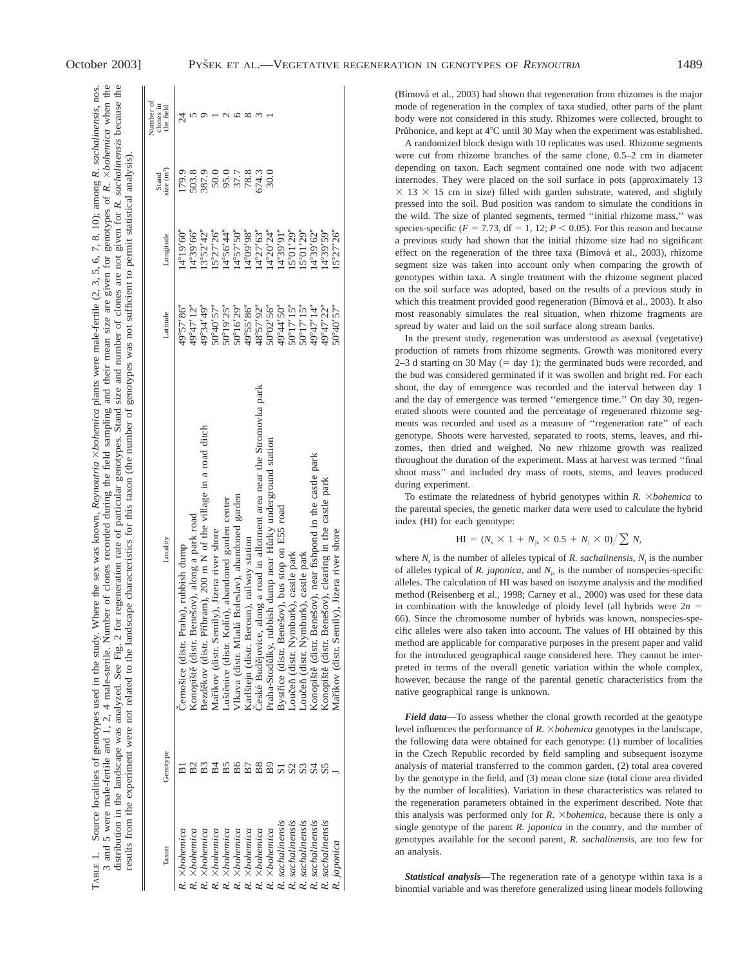| Taxon                            | Genotype | Locality                                                                      | Latitude            | Longitude           | size $(m2)$<br>Stand                        | Number of<br>clones in<br>the field |
|----------------------------------|----------|-------------------------------------------------------------------------------|---------------------|---------------------|---------------------------------------------|-------------------------------------|
| $R.$ $\times$ bohemica           |          | Cernošice (distr. Praha), rubbish dump                                        | $49^{\circ}57'86''$ | $14^{\circ}19'60''$ | 179.9                                       |                                     |
| $R.$ $\times$ $b$ <i>ohemica</i> |          | Konopiště (distr. Benešov), along a park road                                 | 19°47′12″           | $14^{\circ}39'66''$ |                                             |                                     |
| $R.$ $\times$ bohemica           |          | Bezděkov (distr. Příbram), 200 m N of the village in a road ditch             | 19°34'49"           | $3^{\circ}52'42''$  | 503.8<br>50.00 78.8<br>50.00 78.8<br>77.8.3 |                                     |
| $R.$ $\times$ bohemica           |          | Maříkov (distr. Semily), Jizera river shore                                   | $50^{\circ}40'57''$ | 5°27'26''           |                                             |                                     |
| $R.$ $\times$ bohemica           |          | uštěnice (distr. Kolín), abandoned garden center                              | 50°19'25"           | $4^{\circ}56'44''$  |                                             |                                     |
| $R.$ $\times$ bohemica           |          | Vlkava (distr. Mladá Boleslav), abandoned garden                              | $50^{\circ}16'29''$ | $4^{\circ}57'50''$  |                                             |                                     |
| $R.$ $\times$ bohemica           |          | Karlštejn (distr. Beroun), railway station                                    | $49^{\circ}55'86''$ | $4^{\circ}09'98''$  |                                             |                                     |
| $R.$ $\times$ bohemica           |          | along a road in allotment area near the Stromovka park<br>České Budějovice, a | $48^{\circ}57'92''$ | $4^{\circ}27'63''$  |                                             |                                     |
| $R.$ $\times$ bohemica           |          | raha-Stodůlky, rubbish dump near Hůrky underground station                    | $50^{\circ}02'56''$ | $4^{\circ}20'24''$  | 30.0                                        |                                     |
| R. sachalinensis                 |          | Bystřice (distr. Benešov), bus stop on E55 road                               | 19°44′50″           | $4^{\circ}39'91''$  |                                             |                                     |
| R. sachalinensis                 |          | Loučeň (distr. Nymburk), castle park                                          | $50^{\circ}17'15''$ | $15^{\circ}01'29''$ |                                             |                                     |
| R. sachalinensis                 |          | Loučeň (distr. Nymburk), castle park                                          | $50^{\circ}17'15''$ | $15^{\circ}01'29''$ |                                             |                                     |
| R. sachalinensis                 |          | Konopiště (distr. Benešov), near fishpond in the castle park                  | 19°47′14″           | $4^{\circ}39'62''$  |                                             |                                     |
| R. sachalinensis                 |          | Konopiště (distr. Benešov), clearing in the castle park                       | 19°47′22″           | 14°39'59"           |                                             |                                     |
| R. japonica                      |          | Maříkov (distr. Semily), Jizera river shore                                   | 50°40'57"           | 5°27'26''           |                                             |                                     |

(Bímová et al., 2003) had shown that regeneration from rhizomes is the major mode of regeneration in the complex of taxa studied, other parts of the plant body were not considered in this study. Rhizomes were collected, brought to Průhonice, and kept at  $4^{\circ}$ C until 30 May when the experiment was established.

A randomized block design with 10 replicates was used. Rhizome segments were cut from rhizome branches of the same clone, 0.5–2 cm in diameter depending on taxon. Each segment contained one node with two adjacent internodes. They were placed on the soil surface in pots (approximately 13  $\times$  13  $\times$  15 cm in size) filled with garden substrate, watered, and slightly pressed into the soil. Bud position was random to simulate the conditions in the wild. The size of planted segments, termed ''initial rhizome mass,'' was species-specific ( $F = 7.73$ , df = 1, 12;  $P < 0.05$ ). For this reason and because a previous study had shown that the initial rhizome size had no significant effect on the regeneration of the three taxa (Bímová et al., 2003), rhizome segment size was taken into account only when comparing the growth of genotypes within taxa. A single treatment with the rhizome segment placed on the soil surface was adopted, based on the results of a previous study in which this treatment provided good regeneration (Bímová et al., 2003). It also most reasonably simulates the real situation, when rhizome fragments are spread by water and laid on the soil surface along stream banks.

In the present study, regeneration was understood as asexual (vegetative) production of ramets from rhizome segments. Growth was monitored every  $2-3$  d starting on 30 May (= day 1); the germinated buds were recorded, and the bud was considered germinated if it was swollen and bright red. For each shoot, the day of emergence was recorded and the interval between day 1 and the day of emergence was termed ''emergence time.'' On day 30, regenerated shoots were counted and the percentage of regenerated rhizome segments was recorded and used as a measure of ''regeneration rate'' of each genotype. Shoots were harvested, separated to roots, stems, leaves, and rhizomes, then dried and weighed. No new rhizome growth was realized throughout the duration of the experiment. Mass at harvest was termed ''final shoot mass'' and included dry mass of roots, stems, and leaves produced during experiment.

To estimate the relatedness of hybrid genotypes within *R. ×bohemica* to the parental species, the genetic marker data were used to calculate the hybrid index (HI) for each genotype:

$$
HI = (N_s \times 1 + N_{js} \times 0.5 + N_j \times 0)/\sum N,
$$

where  $N_s$  is the number of alleles typical of  $R$ . *sachalinensis*,  $N_i$  is the number of alleles typical of *R. japonica*, and  $N<sub>is</sub>$  is the number of nonspecies-specific alleles. The calculation of HI was based on isozyme analysis and the modified method (Reisenberg et al., 1998; Carney et al., 2000) was used for these data in combination with the knowledge of ploidy level (all hybrids were  $2n =$ 66). Since the chromosome number of hybrids was known, nonspecies-specific alleles were also taken into account. The values of HI obtained by this method are applicable for comparative purposes in the present paper and valid for the introduced geographical range considered here. They cannot be interpreted in terms of the overall genetic variation within the whole complex, however, because the range of the parental genetic characteristics from the native geographical range is unknown.

*Field data*—To assess whether the clonal growth recorded at the genotype level influences the performance of *R*.  $\times$ *bohemica* genotypes in the landscape, the following data were obtained for each genotype: (1) number of localities in the Czech Republic recorded by field sampling and subsequent isozyme analysis of material transferred to the common garden, (2) total area covered by the genotype in the field, and (3) mean clone size (total clone area divided by the number of localities). Variation in these characteristics was related to the regeneration parameters obtained in the experiment described. Note that this analysis was performed only for  $R$ .  $\times$ *bohemica*, because there is only a single genotype of the parent *R. japonica* in the country, and the number of genotypes available for the second parent, *R. sachalinensis*, are too few for an analysis.

*Statistical analysis*—The regeneration rate of a genotype within taxa is a binomial variable and was therefore generalized using linear models following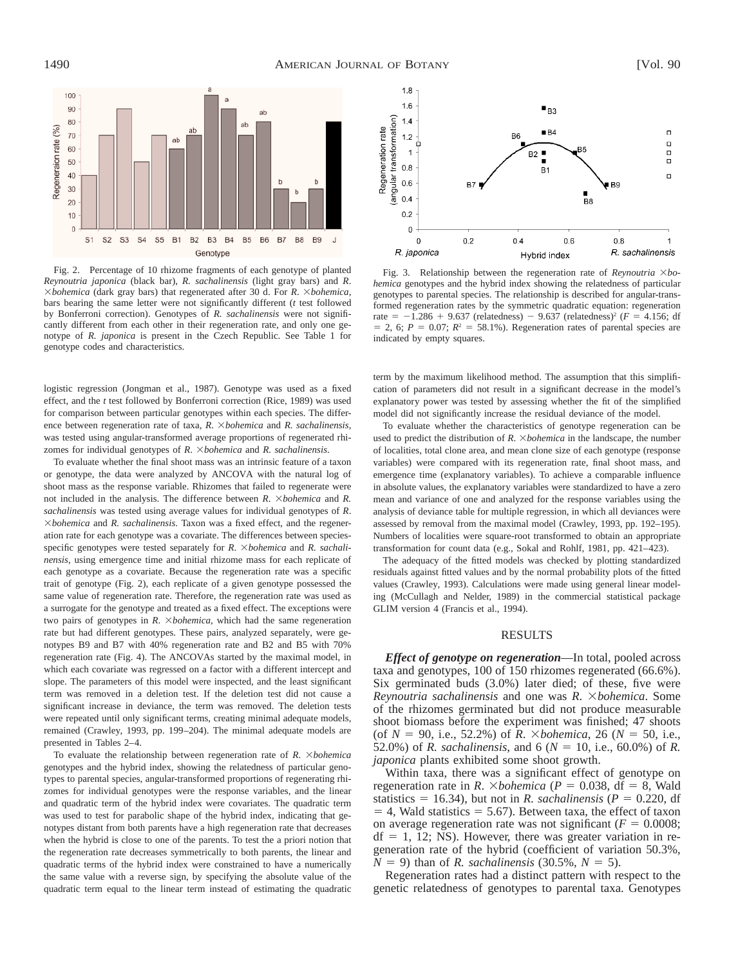

Fig. 2. Percentage of 10 rhizome fragments of each genotype of planted *Reynoutria japonica* (black bar), *R. sachalinensis* (light gray bars) and *R*.  $\times$ *bohemica* (dark gray bars) that regenerated after 30 d. For *R.*  $\times$ *bohemica*, bars bearing the same letter were not significantly different (*t* test followed by Bonferroni correction). Genotypes of *R. sachalinensis* were not significantly different from each other in their regeneration rate, and only one genotype of *R. japonica* is present in the Czech Republic. See Table 1 for genotype codes and characteristics.

logistic regression (Jongman et al., 1987). Genotype was used as a fixed effect, and the *t* test followed by Bonferroni correction (Rice, 1989) was used for comparison between particular genotypes within each species. The difference between regeneration rate of taxa,  $R$ .  $\times$ *bohemica* and  $R$ . *sachalinensis*, was tested using angular-transformed average proportions of regenerated rhizomes for individual genotypes of *R*.  $\times$ *bohemica* and *R. sachalinensis*.

To evaluate whether the final shoot mass was an intrinsic feature of a taxon or genotype, the data were analyzed by ANCOVA with the natural log of shoot mass as the response variable. Rhizomes that failed to regenerate were not included in the analysis. The difference between *R*.  $\times$  *bohemica* and *R*. *sachalinensis* was tested using average values for individual genotypes of *R*. 3*bohemica* and *R. sachalinensis*. Taxon was a fixed effect, and the regeneration rate for each genotype was a covariate. The differences between speciesspecific genotypes were tested separately for *R*.  $\times$ *bohemica* and *R. sachalinensis*, using emergence time and initial rhizome mass for each replicate of each genotype as a covariate. Because the regeneration rate was a specific trait of genotype (Fig. 2), each replicate of a given genotype possessed the same value of regeneration rate. Therefore, the regeneration rate was used as a surrogate for the genotype and treated as a fixed effect. The exceptions were two pairs of genotypes in  $R$ .  $\times$ *bohemica*, which had the same regeneration rate but had different genotypes. These pairs, analyzed separately, were genotypes B9 and B7 with 40% regeneration rate and B2 and B5 with 70% regeneration rate (Fig. 4). The ANCOVAs started by the maximal model, in which each covariate was regressed on a factor with a different intercept and slope. The parameters of this model were inspected, and the least significant term was removed in a deletion test. If the deletion test did not cause a significant increase in deviance, the term was removed. The deletion tests were repeated until only significant terms, creating minimal adequate models, remained (Crawley, 1993, pp. 199–204). The minimal adequate models are presented in Tables 2–4.

To evaluate the relationship between regeneration rate of *R*. *×bohemica* genotypes and the hybrid index, showing the relatedness of particular genotypes to parental species, angular-transformed proportions of regenerating rhizomes for individual genotypes were the response variables, and the linear and quadratic term of the hybrid index were covariates. The quadratic term was used to test for parabolic shape of the hybrid index, indicating that genotypes distant from both parents have a high regeneration rate that decreases when the hybrid is close to one of the parents. To test the a priori notion that the regeneration rate decreases symmetrically to both parents, the linear and quadratic terms of the hybrid index were constrained to have a numerically the same value with a reverse sign, by specifying the absolute value of the quadratic term equal to the linear term instead of estimating the quadratic



Fig. 3. Relationship between the regeneration rate of *Reynoutria* ×bo*hemica* genotypes and the hybrid index showing the relatedness of particular genotypes to parental species. The relationship is described for angular-transformed regeneration rates by the symmetric quadratic equation: regeneration rate  $= -1.286 + 9.637$  (relatedness)  $- 9.637$  (relatedness)<sup>2</sup> (*F* = 4.156; df  $= 2, 6; P = 0.07; R<sup>2</sup> = 58.1%$ . Regeneration rates of parental species are indicated by empty squares.

term by the maximum likelihood method. The assumption that this simplification of parameters did not result in a significant decrease in the model's explanatory power was tested by assessing whether the fit of the simplified model did not significantly increase the residual deviance of the model.

To evaluate whether the characteristics of genotype regeneration can be used to predict the distribution of  $R$ .  $\times$ *bohemica* in the landscape, the number of localities, total clone area, and mean clone size of each genotype (response variables) were compared with its regeneration rate, final shoot mass, and emergence time (explanatory variables). To achieve a comparable influence in absolute values, the explanatory variables were standardized to have a zero mean and variance of one and analyzed for the response variables using the analysis of deviance table for multiple regression, in which all deviances were assessed by removal from the maximal model (Crawley, 1993, pp. 192–195). Numbers of localities were square-root transformed to obtain an appropriate transformation for count data (e.g., Sokal and Rohlf, 1981, pp. 421–423).

The adequacy of the fitted models was checked by plotting standardized residuals against fitted values and by the normal probability plots of the fitted values (Crawley, 1993). Calculations were made using general linear modeling (McCullagh and Nelder, 1989) in the commercial statistical package GLIM version 4 (Francis et al., 1994).

#### RESULTS

*Effect of genotype on regeneration*—In total, pooled across taxa and genotypes, 100 of 150 rhizomes regenerated (66.6%). Six germinated buds (3.0%) later died; of these, five were *Reynoutria sachalinensis* and one was *R.*  $\times$ *bohemica*. Some of the rhizomes germinated but did not produce measurable shoot biomass before the experiment was finished; 47 shoots (of  $N = 90$ , i.e., 52.2%) of *R*.  $\times$ *bohemica*, 26 ( $N = 50$ , i.e., 52.0%) of *R. sachalinensis*, and 6 ( $N = 10$ , i.e., 60.0%) of *R. japonica* plants exhibited some shoot growth.

Within taxa, there was a significant effect of genotype on regeneration rate in *R*.  $\times$ *bohemica* (*P* = 0.038, df = 8, Wald statistics = 16.34), but not in *R. sachalinensis* ( $P = 0.220$ , df  $=$  4, Wald statistics  $=$  5.67). Between taxa, the effect of taxon on average regeneration rate was not significant  $(F = 0.0008;$  $df = 1$ , 12; NS). However, there was greater variation in regeneration rate of the hybrid (coefficient of variation 50.3%,  $N = 9$ ) than of *R. sachalinensis* (30.5%,  $N = 5$ ).

Regeneration rates had a distinct pattern with respect to the genetic relatedness of genotypes to parental taxa. Genotypes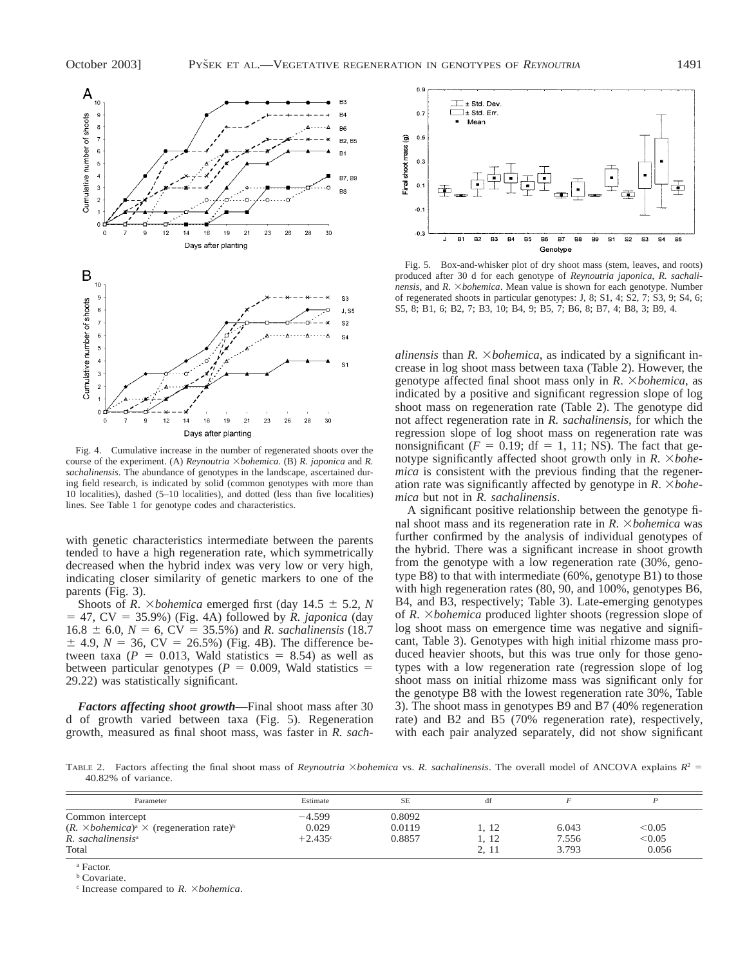

Fig. 4. Cumulative increase in the number of regenerated shoots over the course of the experiment. (A) *Reynoutria* ×*bohemica*. (B) *R. japonica* and *R. sachalinensis*. The abundance of genotypes in the landscape, ascertained during field research, is indicated by solid (common genotypes with more than 10 localities), dashed (5–10 localities), and dotted (less than five localities) lines. See Table 1 for genotype codes and characteristics.

with genetic characteristics intermediate between the parents tended to have a high regeneration rate, which symmetrically decreased when the hybrid index was very low or very high, indicating closer similarity of genetic markers to one of the parents (Fig. 3).

Shoots of *R*.  $\times$ *bohemica* emerged first (day 14.5  $\pm$  5.2, *N*  $=$  47, CV  $=$  35.9%) (Fig. 4A) followed by *R. japonica* (day  $16.8 \pm 6.0$ ,  $N = 6$ ,  $CV = 35.5%$ ) and *R. sachalinensis* (18.7)  $\pm$  4.9, *N* = 36, CV = 26.5%) (Fig. 4B). The difference between taxa ( $P = 0.013$ , Wald statistics = 8.54) as well as between particular genotypes ( $P = 0.009$ , Wald statistics  $=$ 29.22) was statistically significant.

*Factors affecting shoot growth*—Final shoot mass after 30 d of growth varied between taxa (Fig. 5). Regeneration growth, measured as final shoot mass, was faster in *R. sach-*



Fig. 5. Box-and-whisker plot of dry shoot mass (stem, leaves, and roots) produced after 30 d for each genotype of *Reynoutria japonica*, *R. sachalinensis,* and  $R$ .  $\times$ *bohemica*. Mean value is shown for each genotype. Number of regenerated shoots in particular genotypes: J, 8; S1, 4; S2, 7; S3, 9; S4, 6; S5, 8; B1, 6; B2, 7; B3, 10; B4, 9; B5, 7; B6, 8; B7, 4; B8, 3; B9, 4.

*alinensis* than  $R$ .  $\times$ *bohemica*, as indicated by a significant increase in log shoot mass between taxa (Table 2). However, the genotype affected final shoot mass only in *R*.  $\times$  *bohemica*, as indicated by a positive and significant regression slope of log shoot mass on regeneration rate (Table 2). The genotype did not affect regeneration rate in *R. sachalinensis*, for which the regression slope of log shoot mass on regeneration rate was nonsignificant  $(F = 0.19; df = 1, 11; NS)$ . The fact that genotype significantly affected shoot growth only in *R*.  $\times$ *bohemica* is consistent with the previous finding that the regeneration rate was significantly affected by genotype in  $R$ .  $\times$  *bohemica* but not in *R. sachalinensis*.

A significant positive relationship between the genotype final shoot mass and its regeneration rate in  $R$ .  $\times$  *bohemica* was further confirmed by the analysis of individual genotypes of the hybrid. There was a significant increase in shoot growth from the genotype with a low regeneration rate (30%, genotype B8) to that with intermediate (60%, genotype B1) to those with high regeneration rates (80, 90, and 100%, genotypes B6, B4, and B3, respectively; Table 3). Late-emerging genotypes of *R*. 3*bohemica* produced lighter shoots (regression slope of log shoot mass on emergence time was negative and significant, Table 3). Genotypes with high initial rhizome mass produced heavier shoots, but this was true only for those genotypes with a low regeneration rate (regression slope of log shoot mass on initial rhizome mass was significant only for the genotype B8 with the lowest regeneration rate 30%, Table 3). The shoot mass in genotypes B9 and B7 (40% regeneration rate) and B2 and B5 (70% regeneration rate), respectively, with each pair analyzed separately, did not show significant

TABLE 2. Factors affecting the final shoot mass of *Reynoutria ×bohemica* vs. *R. sachalinensis*. The overall model of ANCOVA explains  $R^2$  = 40.82% of variance.

| Parameter                                                                                                         | Estimate                       | <b>SE</b>                  | dt                    |                         |                           |
|-------------------------------------------------------------------------------------------------------------------|--------------------------------|----------------------------|-----------------------|-------------------------|---------------------------|
| Common intercept<br>$(R. \times bohemica)a \times (regeneration rate)b$<br>R. sachalinensis <sup>a</sup><br>Total | $-4.599$<br>0.029<br>$+2.435c$ | 0.8092<br>0.0119<br>0.8857 | , 12<br>, 12<br>2, 11 | 6.043<br>7.556<br>3.793 | < 0.05<br>< 0.05<br>0.056 |

<sup>a</sup> Factor.

<sup>b</sup> Covariate.

 $\textdegree$  Increase compared to *R.*  $\times$ *bohemica*.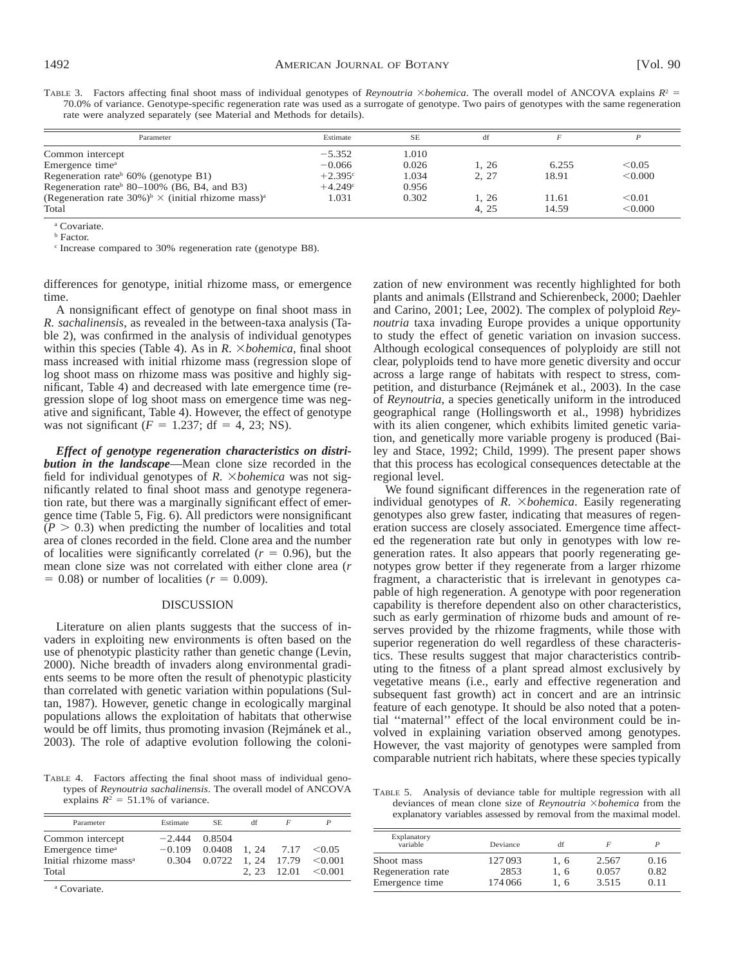TABLE 3. Factors affecting final shoot mass of individual genotypes of *Reynoutria*  $\times$ *bohemica*. The overall model of ANCOVA explains  $R^2$  = 70.0% of variance. Genotype-specific regeneration rate was used as a surrogate of genotype. Two pairs of genotypes with the same regeneration rate were analyzed separately (see Material and Methods for details).

| Parameter                                                                         | Estimate  | SE.   | df    |       | D       |
|-----------------------------------------------------------------------------------|-----------|-------|-------|-------|---------|
| Common intercept                                                                  | $-5.352$  | l.010 |       |       |         |
| Emergence time <sup>a</sup>                                                       | $-0.066$  | 0.026 | 1.26  | 6.255 | < 0.05  |
| Regeneration rate $60\%$ (genotype B1)                                            | $+2.395c$ | 1.034 | 2. 27 | 18.91 | < 0.000 |
| Regeneration rate $80-100\%$ (B6, B4, and B3)                                     | $+4.249c$ | 0.956 |       |       |         |
| (Regeneration rate 30%) <sup>b</sup> $\times$ (initial rhizome mass) <sup>a</sup> | 1.031     | 0.302 | 1.26  | 11.61 | < 0.01  |
| Total                                                                             |           |       | 4.25  | 14.59 | < 0.000 |

<sup>a</sup> Covariate.

**b** Factor.

<sup>c</sup> Increase compared to 30% regeneration rate (genotype B8).

differences for genotype, initial rhizome mass, or emergence time.

A nonsignificant effect of genotype on final shoot mass in *R. sachalinensis*, as revealed in the between-taxa analysis (Table 2), was confirmed in the analysis of individual genotypes within this species (Table 4). As in *R*.  $\times$ *bohemica*, final shoot mass increased with initial rhizome mass (regression slope of log shoot mass on rhizome mass was positive and highly significant, Table 4) and decreased with late emergence time (regression slope of log shoot mass on emergence time was negative and significant, Table 4). However, the effect of genotype was not significant  $(F = 1.237; df = 4, 23; NS)$ .

*Effect of genotype regeneration characteristics on distribution in the landscape*—Mean clone size recorded in the field for individual genotypes of  $R$ .  $\times$ *bohemica* was not significantly related to final shoot mass and genotype regeneration rate, but there was a marginally significant effect of emergence time (Table 5, Fig. 6). All predictors were nonsignificant  $(P > 0.3)$  when predicting the number of localities and total area of clones recorded in the field. Clone area and the number of localities were significantly correlated  $(r = 0.96)$ , but the mean clone size was not correlated with either clone area (*r*  $= 0.08$ ) or number of localities ( $r = 0.009$ ).

#### DISCUSSION

Literature on alien plants suggests that the success of invaders in exploiting new environments is often based on the use of phenotypic plasticity rather than genetic change (Levin, 2000). Niche breadth of invaders along environmental gradients seems to be more often the result of phenotypic plasticity than correlated with genetic variation within populations (Sultan, 1987). However, genetic change in ecologically marginal populations allows the exploitation of habitats that otherwise would be off limits, thus promoting invasion (Rejmanek et al., 2003). The role of adaptive evolution following the coloni-

TABLE 4. Factors affecting the final shoot mass of individual genotypes of *Reynoutria sachalinensis*. The overall model of ANCOVA explains  $R^2 = 51.1\%$  of variance.

| Parameter                         | Estimate | SE.                 | df |             |         |
|-----------------------------------|----------|---------------------|----|-------------|---------|
| Common intercept                  | $-2.444$ | 0.8504              |    |             |         |
| Emergence time <sup>a</sup>       | $-0.109$ | $0.0408$ 1, 24 7.17 |    |             | < 0.05  |
| Initial rhizome mass <sup>a</sup> | 0.304    | 0.0722 1.24 17.79   |    |             | < 0.001 |
| Total                             |          |                     |    | 2. 23 12.01 | < 0.001 |

<sup>a</sup> Covariate.

zation of new environment was recently highlighted for both plants and animals (Ellstrand and Schierenbeck, 2000; Daehler and Carino, 2001; Lee, 2002). The complex of polyploid *Reynoutria* taxa invading Europe provides a unique opportunity to study the effect of genetic variation on invasion success. Although ecological consequences of polyploidy are still not clear, polyploids tend to have more genetic diversity and occur across a large range of habitats with respect to stress, competition, and disturbance (Rejmánek et al., 2003). In the case of *Reynoutria*, a species genetically uniform in the introduced geographical range (Hollingsworth et al., 1998) hybridizes with its alien congener, which exhibits limited genetic variation, and genetically more variable progeny is produced (Bailey and Stace, 1992; Child, 1999). The present paper shows that this process has ecological consequences detectable at the regional level.

We found significant differences in the regeneration rate of individual genotypes of *R. ×bohemica*. Easily regenerating genotypes also grew faster, indicating that measures of regeneration success are closely associated. Emergence time affected the regeneration rate but only in genotypes with low regeneration rates. It also appears that poorly regenerating genotypes grow better if they regenerate from a larger rhizome fragment, a characteristic that is irrelevant in genotypes capable of high regeneration. A genotype with poor regeneration capability is therefore dependent also on other characteristics, such as early germination of rhizome buds and amount of reserves provided by the rhizome fragments, while those with superior regeneration do well regardless of these characteristics. These results suggest that major characteristics contributing to the fitness of a plant spread almost exclusively by vegetative means (i.e., early and effective regeneration and subsequent fast growth) act in concert and are an intrinsic feature of each genotype. It should be also noted that a potential ''maternal'' effect of the local environment could be involved in explaining variation observed among genotypes. However, the vast majority of genotypes were sampled from comparable nutrient rich habitats, where these species typically

TABLE 5. Analysis of deviance table for multiple regression with all deviances of mean clone size of *Reynoutria* ×*bohemica* from the explanatory variables assessed by removal from the maximal model.

| Explanatory<br>variable             | Deviance       | df         |                |              |
|-------------------------------------|----------------|------------|----------------|--------------|
| Shoot mass                          | 127093         | 1.6        | 2.567          | 0.16         |
| Regeneration rate<br>Emergence time | 2853<br>174066 | 1.6<br>1.6 | 0.057<br>3.515 | 0.82<br>0.11 |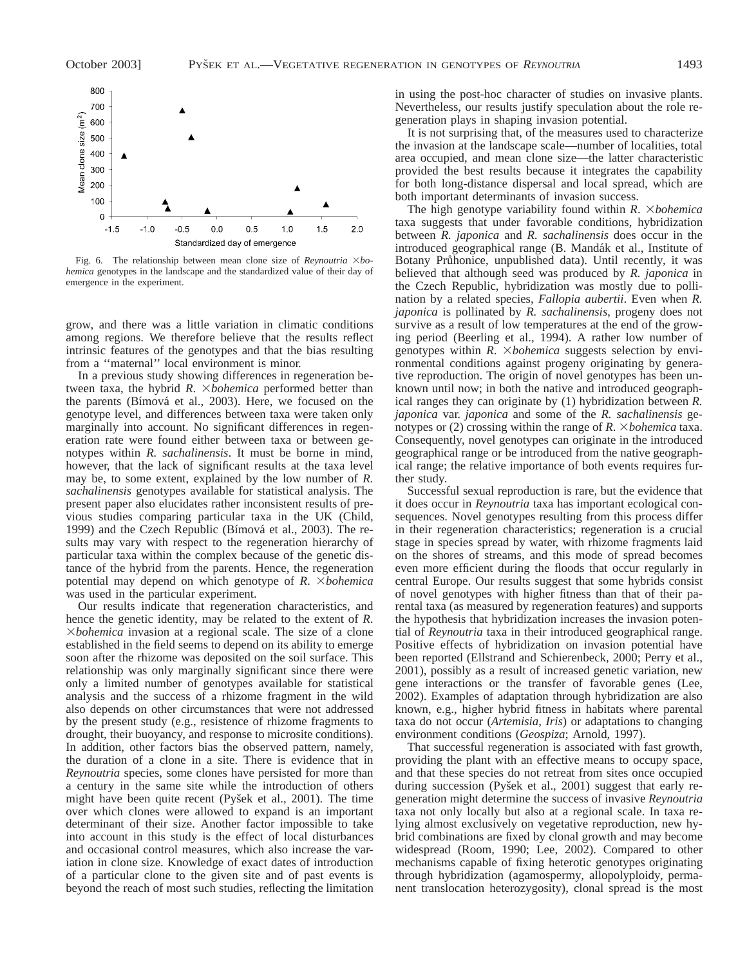

Fig. 6. The relationship between mean clone size of *Reynoutria* ×bo*hemica* genotypes in the landscape and the standardized value of their day of emergence in the experiment.

grow, and there was a little variation in climatic conditions among regions. We therefore believe that the results reflect intrinsic features of the genotypes and that the bias resulting from a ''maternal'' local environment is minor.

In a previous study showing differences in regeneration between taxa, the hybrid *R*.  $\times$  *bohemica* performed better than the parents (Bímová et al., 2003). Here, we focused on the genotype level, and differences between taxa were taken only marginally into account. No significant differences in regeneration rate were found either between taxa or between genotypes within *R. sachalinensis*. It must be borne in mind, however, that the lack of significant results at the taxa level may be, to some extent, explained by the low number of *R. sachalinensis* genotypes available for statistical analysis. The present paper also elucidates rather inconsistent results of previous studies comparing particular taxa in the UK (Child, 1999) and the Czech Republic (Bímová et al., 2003). The results may vary with respect to the regeneration hierarchy of particular taxa within the complex because of the genetic distance of the hybrid from the parents. Hence, the regeneration potential may depend on which genotype of *R*.  $\times$ *bohemica* was used in the particular experiment.

Our results indicate that regeneration characteristics, and hence the genetic identity, may be related to the extent of *R*. 3*bohemica* invasion at a regional scale. The size of a clone established in the field seems to depend on its ability to emerge soon after the rhizome was deposited on the soil surface. This relationship was only marginally significant since there were only a limited number of genotypes available for statistical analysis and the success of a rhizome fragment in the wild also depends on other circumstances that were not addressed by the present study (e.g., resistence of rhizome fragments to drought, their buoyancy, and response to microsite conditions). In addition, other factors bias the observed pattern, namely, the duration of a clone in a site. There is evidence that in *Reynoutria* species, some clones have persisted for more than a century in the same site while the introduction of others might have been quite recent (Pyšek et al., 2001). The time over which clones were allowed to expand is an important determinant of their size. Another factor impossible to take into account in this study is the effect of local disturbances and occasional control measures, which also increase the variation in clone size. Knowledge of exact dates of introduction of a particular clone to the given site and of past events is beyond the reach of most such studies, reflecting the limitation in using the post-hoc character of studies on invasive plants. Nevertheless, our results justify speculation about the role regeneration plays in shaping invasion potential.

It is not surprising that, of the measures used to characterize the invasion at the landscape scale—number of localities, total area occupied, and mean clone size—the latter characteristic provided the best results because it integrates the capability for both long-distance dispersal and local spread, which are both important determinants of invasion success.

The high genotype variability found within  $R$ .  $\times$  *bohemica* taxa suggests that under favorable conditions, hybridization between *R. japonica* and *R. sachalinensis* does occur in the introduced geographical range (B. Mandák et al., Institute of Botany Průhonice, unpublished data). Until recently, it was believed that although seed was produced by *R. japonica* in the Czech Republic, hybridization was mostly due to pollination by a related species, *Fallopia aubertii*. Even when *R. japonica* is pollinated by *R. sachalinensis*, progeny does not survive as a result of low temperatures at the end of the growing period (Beerling et al., 1994). A rather low number of genotypes within  $R$ .  $\times$ *bohemica* suggests selection by environmental conditions against progeny originating by generative reproduction. The origin of novel genotypes has been unknown until now; in both the native and introduced geographical ranges they can originate by (1) hybridization between *R. japonica* var. *japonica* and some of the *R. sachalinensis* genotypes or (2) crossing within the range of *R*.  $\times$  *bohemica* taxa. Consequently, novel genotypes can originate in the introduced geographical range or be introduced from the native geographical range; the relative importance of both events requires further study.

Successful sexual reproduction is rare, but the evidence that it does occur in *Reynoutria* taxa has important ecological consequences. Novel genotypes resulting from this process differ in their regeneration characteristics; regeneration is a crucial stage in species spread by water, with rhizome fragments laid on the shores of streams, and this mode of spread becomes even more efficient during the floods that occur regularly in central Europe. Our results suggest that some hybrids consist of novel genotypes with higher fitness than that of their parental taxa (as measured by regeneration features) and supports the hypothesis that hybridization increases the invasion potential of *Reynoutria* taxa in their introduced geographical range. Positive effects of hybridization on invasion potential have been reported (Ellstrand and Schierenbeck, 2000; Perry et al., 2001), possibly as a result of increased genetic variation, new gene interactions or the transfer of favorable genes (Lee, 2002). Examples of adaptation through hybridization are also known, e.g., higher hybrid fitness in habitats where parental taxa do not occur (*Artemisia*, *Iris*) or adaptations to changing environment conditions (*Geospiza*; Arnold, 1997).

That successful regeneration is associated with fast growth, providing the plant with an effective means to occupy space, and that these species do not retreat from sites once occupied during succession (Pyšek et al., 2001) suggest that early regeneration might determine the success of invasive *Reynoutria* taxa not only locally but also at a regional scale. In taxa relying almost exclusively on vegetative reproduction, new hybrid combinations are fixed by clonal growth and may become widespread (Room, 1990; Lee, 2002). Compared to other mechanisms capable of fixing heterotic genotypes originating through hybridization (agamospermy, allopolyploidy, permanent translocation heterozygosity), clonal spread is the most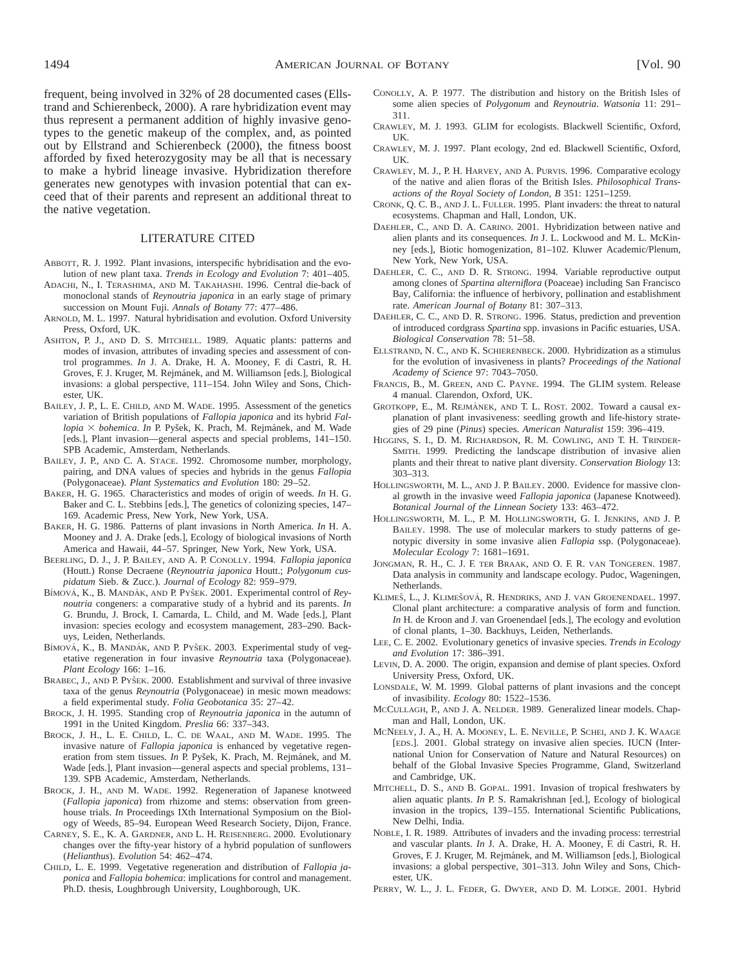frequent, being involved in 32% of 28 documented cases (Ellstrand and Schierenbeck, 2000). A rare hybridization event may thus represent a permanent addition of highly invasive genotypes to the genetic makeup of the complex, and, as pointed out by Ellstrand and Schierenbeck (2000), the fitness boost afforded by fixed heterozygosity may be all that is necessary to make a hybrid lineage invasive. Hybridization therefore generates new genotypes with invasion potential that can exceed that of their parents and represent an additional threat to the native vegetation.

## LITERATURE CITED

- ABBOTT, R. J. 1992. Plant invasions, interspecific hybridisation and the evolution of new plant taxa. *Trends in Ecology and Evolution* 7: 401–405.
- ADACHI, N., I. TERASHIMA, AND M. TAKAHASHI. 1996. Central die-back of monoclonal stands of *Reynoutria japonica* in an early stage of primary succession on Mount Fuji. *Annals of Botany* 77: 477–486.
- ARNOLD, M. L. 1997. Natural hybridisation and evolution. Oxford University Press, Oxford, UK.
- ASHTON, P. J., AND D. S. MITCHELL. 1989. Aquatic plants: patterns and modes of invasion, attributes of invading species and assessment of control programmes. *In* J. A. Drake, H. A. Mooney, F. di Castri, R. H. Groves, F. J. Kruger, M. Rejmánek, and M. Williamson [eds.], Biological invasions: a global perspective, 111–154. John Wiley and Sons, Chichester, UK.
- BAILEY, J. P., L. E. CHILD, AND M. WADE. 1995. Assessment of the genetics variation of British populations of *Fallopia japonica* and its hybrid *Fallopia*  $\times$  *bohemica. In* P. Pyšek, K. Prach, M. Rejmánek, and M. Wade [eds.], Plant invasion—general aspects and special problems, 141–150. SPB Academic, Amsterdam, Netherlands.
- BAILEY, J. P., AND C. A. STACE. 1992. Chromosome number, morphology, pairing, and DNA values of species and hybrids in the genus *Fallopia* (Polygonaceae). *Plant Systematics and Evolution* 180: 29–52.
- BAKER, H. G. 1965. Characteristics and modes of origin of weeds. *In* H. G. Baker and C. L. Stebbins [eds.], The genetics of colonizing species, 147– 169. Academic Press, New York, New York, USA.
- BAKER, H. G. 1986. Patterns of plant invasions in North America. *In* H. A. Mooney and J. A. Drake [eds.], Ecology of biological invasions of North America and Hawaii, 44–57. Springer, New York, New York, USA.
- BEERLING, D. J., J. P. BAILEY, AND A. P. CONOLLY. 1994. *Fallopia japonica* (Houtt.) Ronse Decraene (*Reynoutria japonica* Houtt.; *Polygonum cuspidatum* Sieb. & Zucc.). *Journal of Ecology* 82: 959–979.
- BÍMOVÁ, K., B. MANDÁK, AND P. PYŠEK. 2001. Experimental control of Rey*noutria* congeners: a comparative study of a hybrid and its parents. *In* G. Brundu, J. Brock, I. Camarda, L. Child, and M. Wade [eds.], Plant invasion: species ecology and ecosystem management, 283–290. Backuys, Leiden, Netherlands.
- BÍMOVÁ, K., B. MANDÁK, AND P. PYŠEK. 2003. Experimental study of vegetative regeneration in four invasive *Reynoutria* taxa (Polygonaceae). *Plant Ecology* 166: 1–16.
- BRABEC, J., AND P. PYŠEK. 2000. Establishment and survival of three invasive taxa of the genus *Reynoutria* (Polygonaceae) in mesic mown meadows: a field experimental study. *Folia Geobotanica* 35: 27–42.
- BROCK, J. H. 1995. Standing crop of *Reynoutria japonica* in the autumn of 1991 in the United Kingdom. *Preslia* 66: 337–343.
- BROCK, J. H., L. E. CHILD, L. C. DE WAAL, AND M. WADE. 1995. The invasive nature of *Fallopia japonica* is enhanced by vegetative regeneration from stem tissues. *In* P. Pyšek, K. Prach, M. Rejmánek, and M. Wade [eds.], Plant invasion—general aspects and special problems, 131– 139. SPB Academic, Amsterdam, Netherlands.
- BROCK, J. H., AND M. WADE. 1992. Regeneration of Japanese knotweed (*Fallopia japonica*) from rhizome and stems: observation from greenhouse trials. *In* Proceedings IXth International Symposium on the Biology of Weeds, 85–94. European Weed Research Society, Dijon, France.
- CARNEY, S. E., K. A. GARDNER, AND L. H. REISENBERG. 2000. Evolutionary changes over the fifty-year history of a hybrid population of sunflowers (*Helianthus*). *Evolution* 54: 462–474.
- CHILD, L. E. 1999. Vegetative regeneration and distribution of *Fallopia japonica* and *Fallopia bohemica*: implications for control and management. Ph.D. thesis, Loughbrough University, Loughborough, UK.
- CONOLLY, A. P. 1977. The distribution and history on the British Isles of some alien species of *Polygonum* and *Reynoutria*. *Watsonia* 11: 291– 311.
- CRAWLEY, M. J. 1993. GLIM for ecologists. Blackwell Scientific, Oxford, UK.
- CRAWLEY, M. J. 1997. Plant ecology, 2nd ed. Blackwell Scientific, Oxford, UK.
- CRAWLEY, M. J., P. H. HARVEY, AND A. PURVIS. 1996. Comparative ecology of the native and alien floras of the British Isles. *Philosophical Transactions of the Royal Society of London, B* 351: 1251–1259.
- CRONK, Q. C. B., AND J. L. FULLER. 1995. Plant invaders: the threat to natural ecosystems. Chapman and Hall, London, UK.
- DAEHLER, C., AND D. A. CARINO. 2001. Hybridization between native and alien plants and its consequences. *In* J. L. Lockwood and M. L. McKinney [eds.], Biotic homogenization, 81–102. Kluwer Academic/Plenum, New York, New York, USA.
- DAEHLER, C. C., AND D. R. STRONG. 1994. Variable reproductive output among clones of *Spartina alterniflora* (Poaceae) including San Francisco Bay, California: the influence of herbivory, pollination and establishment rate. *American Journal of Botany* 81: 307–313.
- DAEHLER, C. C., AND D. R. STRONG. 1996. Status, prediction and prevention of introduced cordgrass *Spartina* spp. invasions in Pacific estuaries, USA. *Biological Conservation* 78: 51–58.
- ELLSTRAND, N. C., AND K. SCHIERENBECK. 2000. Hybridization as a stimulus for the evolution of invasiveness in plants? *Proceedings of the National Academy of Science* 97: 7043–7050.
- FRANCIS, B., M. GREEN, AND C. PAYNE. 1994. The GLIM system. Release 4 manual. Clarendon, Oxford, UK.
- GROTKOPP, E., M. REJMÁNEK, AND T. L. ROST. 2002. Toward a causal explanation of plant invasiveness: seedling growth and life-history strategies of 29 pine (*Pinus*) species. *American Naturalist* 159: 396–419.
- HIGGINS, S. I., D. M. RICHARDSON, R. M. COWLING, AND T. H. TRINDER-SMITH. 1999. Predicting the landscape distribution of invasive alien plants and their threat to native plant diversity. *Conservation Biology* 13: 303–313.
- HOLLINGSWORTH, M. L., AND J. P. BAILEY. 2000. Evidence for massive clonal growth in the invasive weed *Fallopia japonica* (Japanese Knotweed). *Botanical Journal of the Linnean Society* 133: 463–472.
- HOLLINGSWORTH, M. L., P. M. HOLLINGSWORTH, G. I. JENKINS, AND J. P. BAILEY. 1998. The use of molecular markers to study patterns of genotypic diversity in some invasive alien *Fallopia* ssp. (Polygonaceae). *Molecular Ecology* 7: 1681–1691.
- JONGMAN, R. H., C. J. F. TER BRAAK, AND O. F. R. VAN TONGEREN. 1987. Data analysis in community and landscape ecology. Pudoc, Wageningen, Netherlands.
- KLIMEŠ, L., J. KLIMEŠOVÁ, R. HENDRIKS, AND J. VAN GROENENDAEL. 1997. Clonal plant architecture: a comparative analysis of form and function. *In* H. de Kroon and J. van Groenendael [eds.], The ecology and evolution of clonal plants, 1–30. Backhuys, Leiden, Netherlands.
- LEE, C. E. 2002. Evolutionary genetics of invasive species. *Trends in Ecology and Evolution* 17: 386–391.
- LEVIN, D. A. 2000. The origin, expansion and demise of plant species. Oxford University Press, Oxford, UK.
- LONSDALE, W. M. 1999. Global patterns of plant invasions and the concept of invasibility. *Ecology* 80: 1522–1536.
- MCCULLAGH, P., AND J. A. NELDER. 1989. Generalized linear models. Chapman and Hall, London, UK.
- MCNEELY, J. A., H. A. MOONEY, L. E. NEVILLE, P. SCHEI, AND J. K. WAAGE [EDS.]. 2001. Global strategy on invasive alien species. IUCN (International Union for Conservation of Nature and Natural Resources) on behalf of the Global Invasive Species Programme, Gland, Switzerland and Cambridge, UK.
- MITCHELL, D. S., AND B. GOPAL. 1991. Invasion of tropical freshwaters by alien aquatic plants. *In* P. S. Ramakrishnan [ed.], Ecology of biological invasion in the tropics, 139–155. International Scientific Publications, New Delhi, India.
- NOBLE, I. R. 1989. Attributes of invaders and the invading process: terrestrial and vascular plants. *In* J. A. Drake, H. A. Mooney, F. di Castri, R. H. Groves, F. J. Kruger, M. Rejmánek, and M. Williamson [eds.], Biological invasions: a global perspective, 301–313. John Wiley and Sons, Chichester, UK.
- PERRY, W. L., J. L. FEDER, G. DWYER, AND D. M. LODGE. 2001. Hybrid